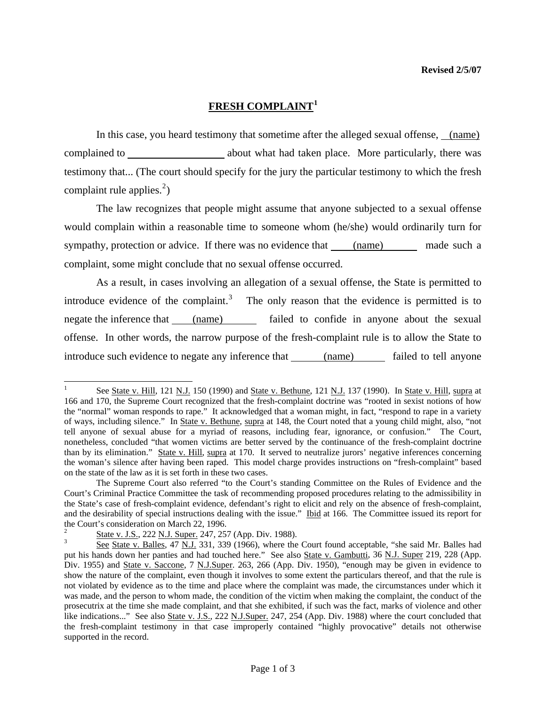## **FRESH COMPLAINT[1](#page-0-0)**

In this case, you heard testimony that sometime after the alleged sexual offense, (name) complained to about what had taken place. More particularly, there was testimony that... (The court should specify for the jury the particular testimony to which the fresh complaint rule applies. $^{2}$  $^{2}$  $^{2}$ )

 The law recognizes that people might assume that anyone subjected to a sexual offense would complain within a reasonable time to someone whom (he/she) would ordinarily turn for sympathy, protection or advice. If there was no evidence that (name) made such a complaint, some might conclude that no sexual offense occurred.

 As a result, in cases involving an allegation of a sexual offense, the State is permitted to introduce evidence of the complaint.<sup>[3](#page-0-2)</sup> The only reason that the evidence is permitted is to negate the inference that (name) failed to confide in anyone about the sexual offense. In other words, the narrow purpose of the fresh-complaint rule is to allow the State to introduce such evidence to negate any inference that (name) failed to tell anyone

<span id="page-0-0"></span> $\frac{1}{1}$  See State v. Hill, 121 N.J. 150 (1990) and State v. Bethune, 121 N.J. 137 (1990). In State v. Hill, supra at 166 and 170, the Supreme Court recognized that the fresh-complaint doctrine was "rooted in sexist notions of how the "normal" woman responds to rape." It acknowledged that a woman might, in fact, "respond to rape in a variety of ways, including silence." In State v. Bethune, supra at 148, the Court noted that a young child might, also, "not tell anyone of sexual abuse for a myriad of reasons, including fear, ignorance, or confusion." The Court, nonetheless, concluded "that women victims are better served by the continuance of the fresh-complaint doctrine than by its elimination." State v. Hill, supra at 170. It served to neutralize jurors' negative inferences concerning the woman's silence after having been raped. This model charge provides instructions on "fresh-complaint" based on the state of the law as it is set forth in these two cases.

The Supreme Court also referred "to the Court's standing Committee on the Rules of Evidence and the Court's Criminal Practice Committee the task of recommending proposed procedures relating to the admissibility in the State's case of fresh-complaint evidence, defendant's right to elicit and rely on the absence of fresh-complaint, and the desirability of special instructions dealing with the issue." Ibid at 166. The Committee issued its report for the Court's consideration on March 22, 1996.

<span id="page-0-1"></span><sup>2</sup> State v. J.S., 222 N.J. Super. 247, 257 (App. Div. 1988).

<span id="page-0-3"></span><span id="page-0-2"></span>See State v. Balles, 47 N.J. 331, 339 (1966), where the Court found acceptable, "she said Mr. Balles had put his hands down her panties and had touched here." See also State v. Gambutti, 36 N.J. Super 219, 228 (App. Div. 1955) and State v. Saccone, 7 N.J.Super. 263, 266 (App. Div. 1950), "enough may be given in evidence to show the nature of the complaint, even though it involves to some extent the particulars thereof, and that the rule is not violated by evidence as to the time and place where the complaint was made, the circumstances under which it was made, and the person to whom made, the condition of the victim when making the complaint, the conduct of the prosecutrix at the time she made complaint, and that she exhibited, if such was the fact, marks of violence and other like indications..." See also State v. J.S., 222 N.J.Super. 247, 254 (App. Div. 1988) where the court concluded that the fresh-complaint testimony in that case improperly contained "highly provocative" details not otherwise supported in the record.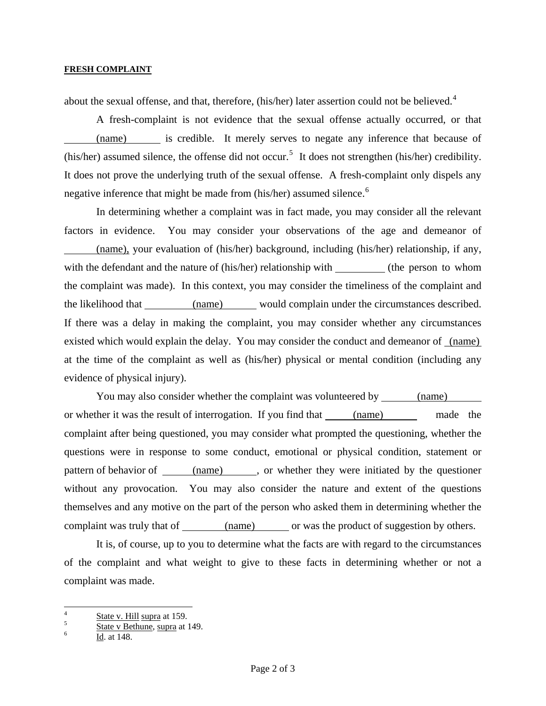## **FRESH COMPLAINT**

about the sexual offense, and that, therefore, (his/her) later assertion could not be believed.<sup>[4](#page-0-3)</sup>

 A fresh-complaint is not evidence that the sexual offense actually occurred, or that (name) is credible. It merely serves to negate any inference that because of (his/her) assumed silence, the offense did not occur.<sup>[5](#page-1-0)</sup> It does not strengthen (his/her) credibility. It does not prove the underlying truth of the sexual offense. A fresh-complaint only dispels any negative inference that might be made from (his/her) assumed silence.<sup>[6](#page-1-1)</sup>

 In determining whether a complaint was in fact made, you may consider all the relevant factors in evidence. You may consider your observations of the age and demeanor of (name), your evaluation of (his/her) background, including (his/her) relationship, if any, with the defendant and the nature of (his/her) relationship with (the person to whom the complaint was made). In this context, you may consider the timeliness of the complaint and the likelihood that (name) would complain under the circumstances described. If there was a delay in making the complaint, you may consider whether any circumstances existed which would explain the delay. You may consider the conduct and demeanor of (name) at the time of the complaint as well as (his/her) physical or mental condition (including any evidence of physical injury).

 You may also consider whether the complaint was volunteered by (name) or whether it was the result of interrogation. If you find that (name) made the complaint after being questioned, you may consider what prompted the questioning, whether the questions were in response to some conduct, emotional or physical condition, statement or pattern of behavior of (name), or whether they were initiated by the questioner without any provocation. You may also consider the nature and extent of the questions themselves and any motive on the part of the person who asked them in determining whether the complaint was truly that of (name) or was the product of suggestion by others.

 It is, of course, up to you to determine what the facts are with regard to the circumstances of the complaint and what weight to give to these facts in determining whether or not a complaint was made.

 4  $\frac{4}{5}$  State v. Hill supra at 159.

<span id="page-1-0"></span> $\frac{5}{6}$  State v Bethune, supra at 149.

<span id="page-1-1"></span>Id. at 148.